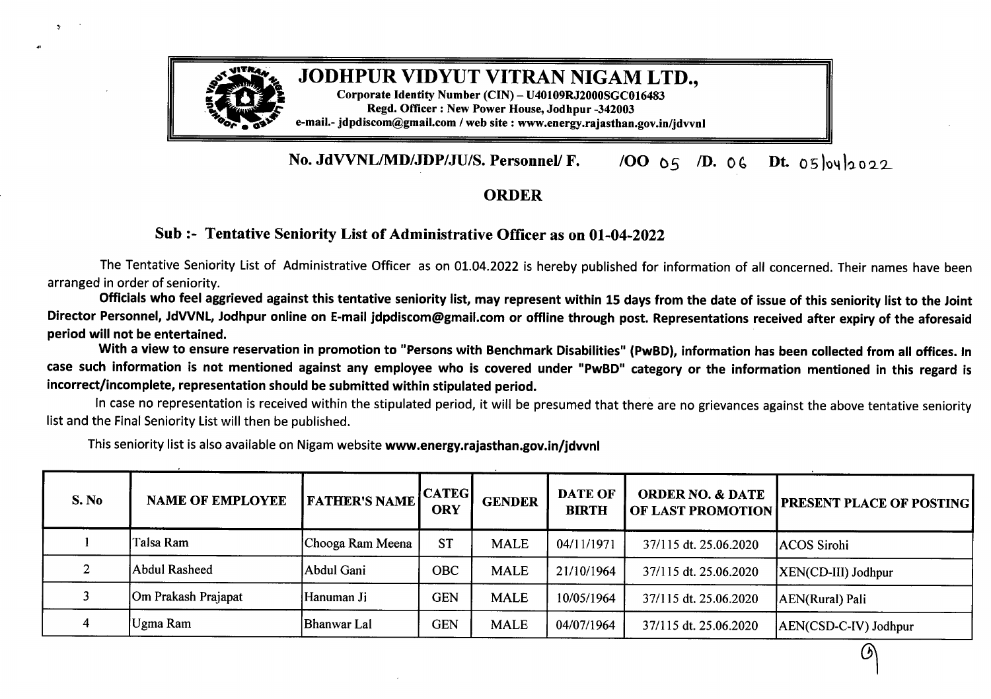

## # **Corporate Identity Number (CIN) -U40109RJ2000\$GC016483**

**.} Regd. Officer : New Power House, Jodhpur -342003 Po,**a **e-mail.- jdpdiscom@gmail.com / web site : www.energy.rajasthan.gov.in/jdvvnl**

## **No. JdVVNL/MD/JDP/JU/S. Personnel/ F.**  $\sqrt{OO}$   $\theta$ <sup>5</sup>  $\sqrt{De}$   $\theta$ <sup>6</sup>  $\theta$ <sup>5</sup>  $\theta$ <sup>2</sup>

## **ORDER**

## **Sub :- Tentative Seniority List ofAdministrative Officer as on 01-04-2022**

The Tentative Seniority List of Administrative Officer as on 01.04.2022 is hereby published for information of all concerned. Their names have been arranged in order of seniority.

Officials who feel aggrieved against this tentative seniority list, may represent within 15 days from the date of issue of this seniority list to the Joint Director Personnel, JdVVNL, Jodhpur online on E-mail jdpdiscom@gmail.com or offline through post. Representations received after expiry of the aforesaid **period will not be entertained.**

With a view to ensure reservation in promotion to "Persons with Benchmark Disabilities" (PwBD), information has been collected from all offices. In case such information is not mentioned against any employee who is covered under "PwBD" category or the information mentioned in this regard is **incorrect/incomplete, representation should be submitted within stipulated period.**

In case no representation is received within the stipulated period, it will be presumed that there are no grievances against the above tentative seniority list and the Final Seniority List will then be published.

| S. No | <b>NAME OF EMPLOYEE</b> | <b>FATHER'S NAME</b> | <b>CATEGI</b><br><b>ORY</b> | <b>GENDER</b> | <b>DATE OF</b><br><b>BIRTH</b> | <b>ORDER NO. &amp; DATE</b><br><b>OF LAST PROMOTION</b> | <b>PRESENT PLACE OF POSTING</b> |
|-------|-------------------------|----------------------|-----------------------------|---------------|--------------------------------|---------------------------------------------------------|---------------------------------|
|       | Talsa Ram               | Chooga Ram Meena     | <b>ST</b>                   | <b>MALE</b>   | 04/11/1971                     | 37/115 dt. 25.06.2020                                   | ACOS Sirohi                     |
|       | Abdul Rasheed           | Abdul Gani           | <b>OBC</b>                  | <b>MALE</b>   | 21/10/1964                     | 37/115 dt. 25.06.2020                                   | XEN(CD-III) Jodhpur             |
|       | Om Prakash Prajapat     | Hanuman Ji           | <b>GEN</b>                  | <b>MALE</b>   | 10/05/1964                     | 37/115 dt. 25.06.2020                                   | AEN(Rural) Pali                 |
|       | Ugma Ram                | Bhanwar Lal          | <b>GEN</b>                  | <b>MALE</b>   | 04/07/1964                     | 37/115 dt. 25.06.2020                                   | AEN(CSD-C-IV) Jodhpur           |

This seniority list is also available on Nigam website **www.energy.rajasthan.gov.in/jdvvnl**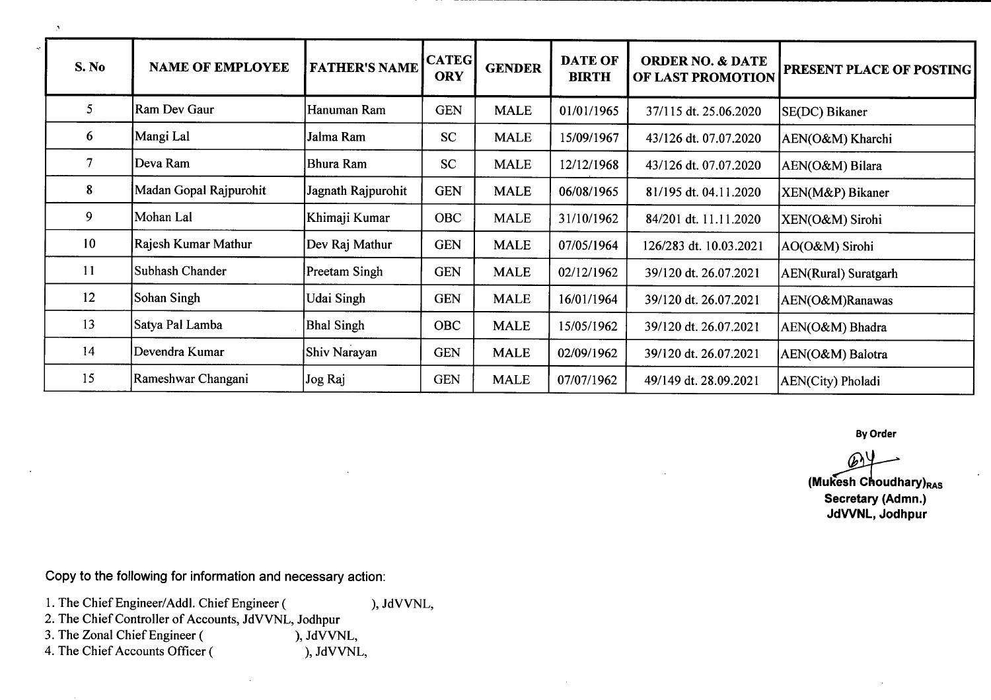| S. No          | <b>NAME OF EMPLOYEE</b> | <b>FATHER'S NAME</b> | <b>CATEG</b><br><b>ORY</b> | <b>GENDER</b> | <b>DATE OF</b><br><b>BIRTH</b> | <b>ORDER NO. &amp; DATE</b><br>OF LAST PROMOTION | <b>PRESENT PLACE OF POSTING</b> |
|----------------|-------------------------|----------------------|----------------------------|---------------|--------------------------------|--------------------------------------------------|---------------------------------|
|                |                         |                      |                            |               |                                |                                                  |                                 |
| 5 <sub>5</sub> | Ram Dev Gaur            | Hanuman Ram          | <b>GEN</b>                 | <b>MALE</b>   | 01/01/1965                     | 37/115 dt. 25.06.2020                            | SE(DC) Bikaner                  |
| 6              | Mangi Lal               | Jalma Ram            | <b>SC</b>                  | <b>MALE</b>   | 15/09/1967                     | 43/126 dt. 07.07.2020                            | AEN(O&M) Kharchi                |
| $\overline{7}$ | Deva Ram                | Bhura Ram            | <b>SC</b>                  | <b>MALE</b>   | 12/12/1968                     | 43/126 dt. 07.07.2020                            | AEN(O&M) Bilara                 |
| 8              | Madan Gopal Rajpurohit  | Jagnath Rajpurohit   | <b>GEN</b>                 | <b>MALE</b>   | 06/08/1965                     | 81/195 dt. 04.11.2020                            | XEN(M&P) Bikaner                |
| 9              | Mohan Lal               | Khimaji Kumar        | <b>OBC</b>                 | <b>MALE</b>   | 31/10/1962                     | 84/201 dt. 11.11.2020                            | XEN(O&M) Sirohi                 |
| 10             | Rajesh Kumar Mathur     | Dev Raj Mathur       | <b>GEN</b>                 | <b>MALE</b>   | 07/05/1964                     | 126/283 dt. 10.03.2021                           | AO(O&M) Sirohi                  |
| 11             | Subhash Chander         | Preetam Singh        | <b>GEN</b>                 | <b>MALE</b>   | 02/12/1962                     | 39/120 dt. 26.07.2021                            | AEN(Rural) Suratgarh            |
| 12             | Sohan Singh             | Udai Singh           | <b>GEN</b>                 | <b>MALE</b>   | 16/01/1964                     | 39/120 dt. 26.07.2021                            | AEN(O&M)Ranawas                 |
| 13             | Satya Pal Lamba         | <b>Bhal Singh</b>    | <b>OBC</b>                 | <b>MALE</b>   | 15/05/1962                     | 39/120 dt. 26.07.2021                            | AEN(O&M) Bhadra                 |
| 14             | Devendra Kumar          | Shiv Narayan         | <b>GEN</b>                 | <b>MALE</b>   | 02/09/1962                     | 39/120 dt. 26.07.2021                            | AEN(O&M) Balotra                |
| 15             | Rameshwar Changani      | Jog Raj              | <b>GEN</b>                 | <b>MALE</b>   | 07/07/1962                     | 49/149 dt. 28.09.2021                            | AEN(City) Pholadi               |

**By Order**

**(Mukesh Choudhary)**<sub>RAS</sub>

**Secretary (Admn.) JdVVNL, Jodhpur**

Copy to the following for information and necessary action:

- 1. The Chief Engineer/Addl. Chief Engineer ( ), JdVVNL, 2. The Chief Controller of Accounts, JdVVNL, Jodhpur
- 

 $\overline{\phantom{a}}$ 

3. The Zonal Chief Engineer (
(
(
(

(

), JdVVNL,
(
4. The Chief Accounts Officer (
(
), JdVVNL,
(
), JdVVNL,
(
), JdVVNL,
(
), JdVVNL,
(  $\overline{a}$ ), JdVVNL,
(  $\overline{b}$ ), JdVVNL,
(  $\overline{b}$ ), JdVVNL,
(  $\overline{b}$ ), JdVVNL,
( 4. The Chief Accounts Officer (